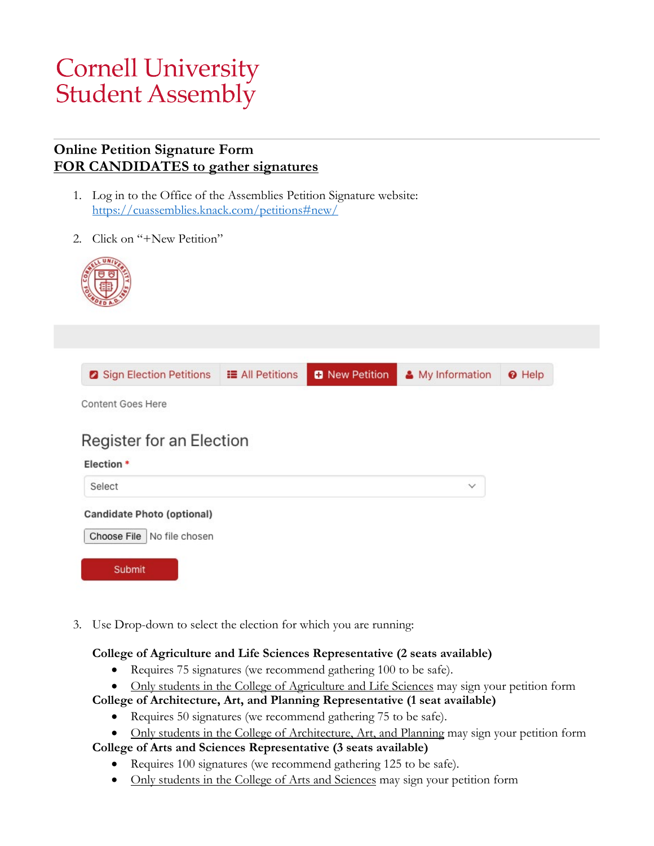# **Cornell University Student Assembly**

#### **Online Petition Signature Form FOR CANDIDATES to gather signatures**

- 1. Log in to the Office of the Assemblies Petition Signature website: <https://cuassemblies.knack.com/petitions#new/>
- 2. Click on "+New Petition"



| 3 Sign Election Petitions<br>Content Goes Here                    | <b>E</b> All Petitions | <b>D</b> New Petition | & My Information | <b>O</b> Help |
|-------------------------------------------------------------------|------------------------|-----------------------|------------------|---------------|
| Register for an Election                                          |                        |                       |                  |               |
| Election *                                                        |                        |                       |                  |               |
| Select                                                            |                        |                       | $\checkmark$     |               |
| <b>Candidate Photo (optional)</b><br>Choose File   No file chosen |                        |                       |                  |               |

3. Use Drop-down to select the election for which you are running:

#### **College of Agriculture and Life Sciences Representative (2 seats available)**

- Requires 75 signatures (we recommend gathering 100 to be safe).
- Only students in the College of Agriculture and Life Sciences may sign your petition form

**College of Architecture, Art, and Planning Representative (1 seat available)**

- Requires 50 signatures (we recommend gathering 75 to be safe).
- Only students in the College of Architecture, Art, and Planning may sign your petition form

#### **College of Arts and Sciences Representative (3 seats available)**

- Requires 100 signatures (we recommend gathering 125 to be safe).
- Only students in the College of Arts and Sciences may sign your petition form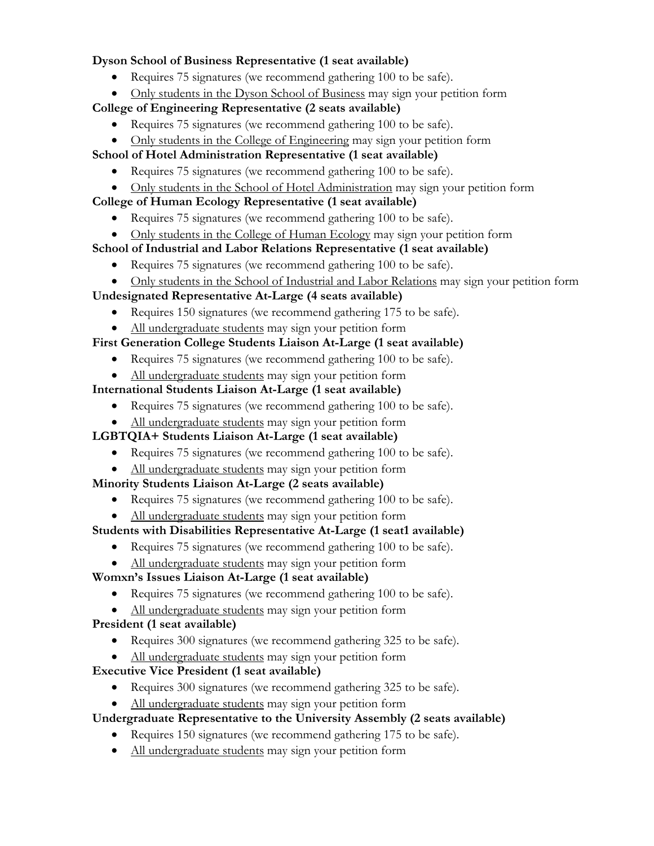#### **Dyson School of Business Representative (1 seat available)**

- Requires 75 signatures (we recommend gathering 100 to be safe).
- Only students in the Dyson School of Business may sign your petition form

#### **College of Engineering Representative (2 seats available)**

- Requires 75 signatures (we recommend gathering 100 to be safe).
- Only students in the College of Engineering may sign your petition form

#### **School of Hotel Administration Representative (1 seat available)**

- Requires 75 signatures (we recommend gathering 100 to be safe).
- Only students in the School of Hotel Administration may sign your petition form

#### **College of Human Ecology Representative (1 seat available)**

- Requires 75 signatures (we recommend gathering 100 to be safe).
- Only students in the College of Human Ecology may sign your petition form

#### **School of Industrial and Labor Relations Representative (1 seat available)**

- Requires 75 signatures (we recommend gathering 100 to be safe).
- Only students in the School of Industrial and Labor Relations may sign your petition form

#### **Undesignated Representative At-Large (4 seats available)**

- Requires 150 signatures (we recommend gathering 175 to be safe).
- All undergraduate students may sign your petition form

#### **First Generation College Students Liaison At-Large (1 seat available)**

- Requires 75 signatures (we recommend gathering 100 to be safe).
- All undergraduate students may sign your petition form

#### **International Students Liaison At-Large (1 seat available)**

• Requires 75 signatures (we recommend gathering 100 to be safe).

#### • All undergraduate students may sign your petition form

#### **LGBTQIA+ Students Liaison At-Large (1 seat available)**

- Requires 75 signatures (we recommend gathering 100 to be safe).
- All undergraduate students may sign your petition form

#### **Minority Students Liaison At-Large (2 seats available)**

- Requires 75 signatures (we recommend gathering 100 to be safe).
- All undergraduate students may sign your petition form

#### **Students with Disabilities Representative At-Large (1 seat1 available)**

- Requires 75 signatures (we recommend gathering 100 to be safe).
- All undergraduate students may sign your petition form

# **Womxn's Issues Liaison At-Large (1 seat available)**

- Requires 75 signatures (we recommend gathering 100 to be safe).
- All undergraduate students may sign your petition form

#### **President (1 seat available)**

- Requires 300 signatures (we recommend gathering 325 to be safe).
- All undergraduate students may sign your petition form

# **Executive Vice President (1 seat available)**

Requires 300 signatures (we recommend gathering 325 to be safe).

All undergraduate students may sign your petition form

# **Undergraduate Representative to the University Assembly (2 seats available)**

- Requires 150 signatures (we recommend gathering 175 to be safe).
- All undergraduate students may sign your petition form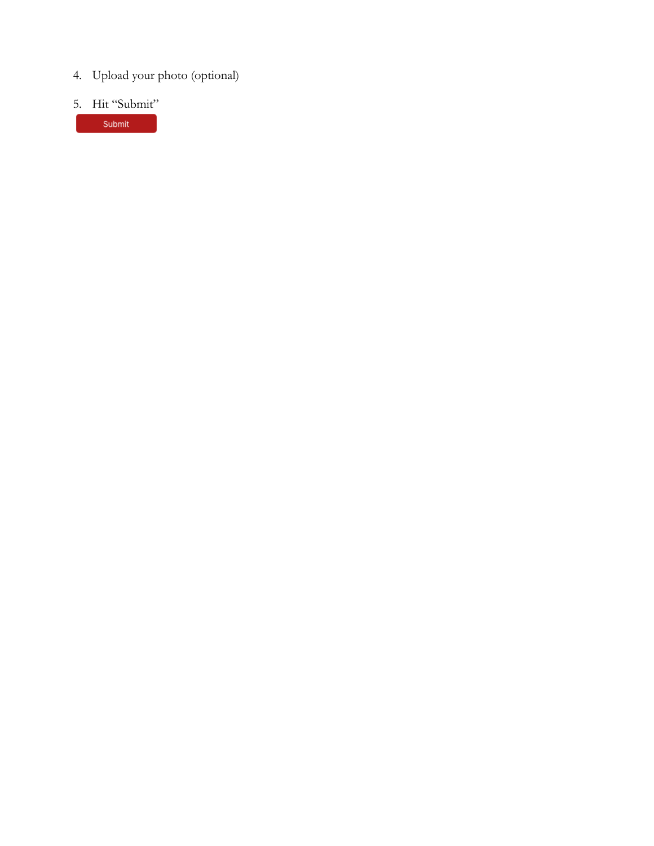- 4. Upload your photo (optional)
- 5. Hit "Submit"

Submit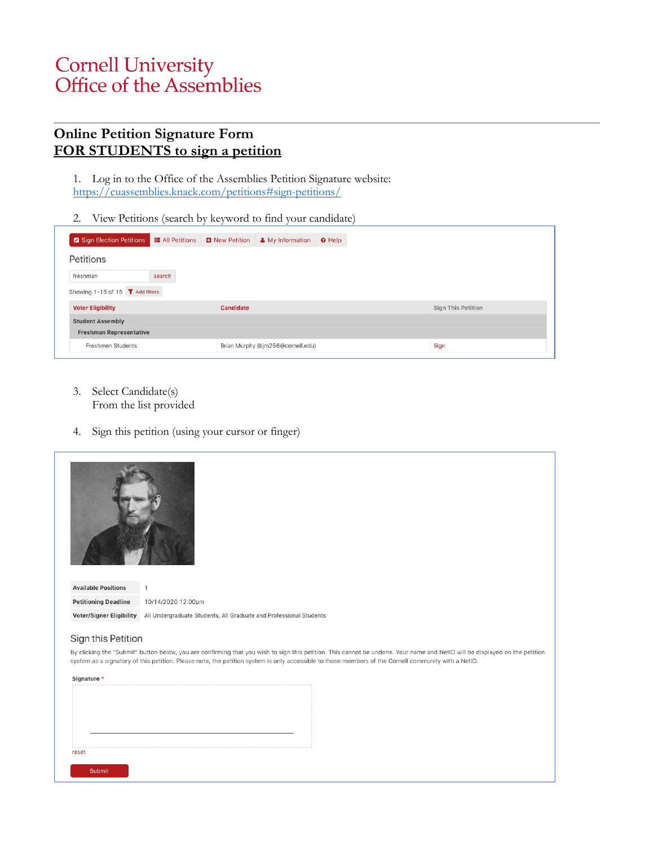# **Cornell University<br>Office of the Assemblies**

#### **Online Petition Signature Form FOR STUDENTS to sign a petition**

- 1. Log in to the Office of the Assemblies Petition Signature website: <https://cuassemblies.knack.com/petitions#sign-petitions/>
- 2. View Petitions (search by keyword to find your candidate)

| <b>2</b> Sign Election Petitions <b>E</b> All Petitions <b>B</b> New Petition & My Information |        |                  | <b>O</b> Help |                           |
|------------------------------------------------------------------------------------------------|--------|------------------|---------------|---------------------------|
| Petitions                                                                                      |        |                  |               |                           |
| freshman                                                                                       | search |                  |               |                           |
| Showing 1-15 of 15 T Add filters                                                               |        |                  |               |                           |
|                                                                                                |        | <b>Candidate</b> |               |                           |
|                                                                                                |        |                  |               | <b>Sign This Petition</b> |
| <b>Voter Eligibility</b><br><b>Student Assembly</b>                                            |        |                  |               |                           |
| <b>Freshman Representative</b>                                                                 |        |                  |               |                           |

- 3. Select Candidate(s) From the list provided
- 4. Sign this petition (using your cursor or finger)



**Available Positions**  $\overline{1}$ 10/14/2020 12:00pm **Petitioning Deadline** Voter/Signer Eligibility All Undergraduate Students, All Graduate and Professional Students

#### Sign this Petition

By clicking the "Submit" button below, you are confirming that you wish to sign this petition. This cannot be undone. Your name and NetID will be displayed on the petition system as a signatory of this petition. Please note, the petition system is only accessible to those members of the Cornell community with a NetID.